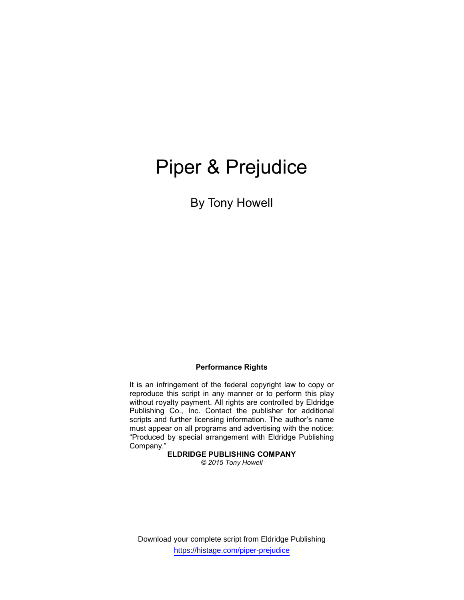# Piper & Prejudice

By Tony Howell

## Performance Rights

It is an infringement of the federal copyright law to copy or reproduce this script in any manner or to perform this play without royalty payment. All rights are controlled by Eldridge Publishing Co., Inc. Contact the publisher for additional scripts and further licensing information. The author's name must appear on all programs and advertising with the notice: "Produced by special arrangement with Eldridge Publishing Company."

## ELDRIDGE PUBLISHING COMPANY

© 2015 Tony Howell

Download your complete script from Eldridge Publishing https://histage.com/piper-prejudice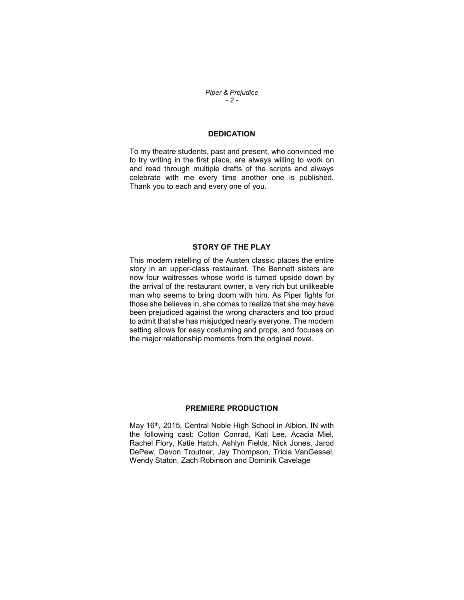## Piper & Prejudice - 2 -

## **DEDICATION**

To my theatre students, past and present, who convinced me to try writing in the first place, are always willing to work on and read through multiple drafts of the scripts and always celebrate with me every time another one is published. Thank you to each and every one of you.

## STORY OF THE PLAY

This modern retelling of the Austen classic places the entire story in an upper-class restaurant. The Bennett sisters are now four waitresses whose world is turned upside down by the arrival of the restaurant owner, a very rich but unlikeable man who seems to bring doom with him. As Piper fights for those she believes in, she comes to realize that she may have been prejudiced against the wrong characters and too proud to admit that she has misjudged nearly everyone. The modern setting allows for easy costuming and props, and focuses on the major relationship moments from the original novel.

## PREMIERE PRODUCTION

May 16<sup>th</sup>, 2015, Central Noble High School in Albion, IN with the following cast: Colton Conrad, Kati Lee, Acacia Miel, Rachel Flory, Katie Hatch, Ashlyn Fields, Nick Jones, Jarod DePew, Devon Troutner, Jay Thompson, Tricia VanGessel, Wendy Staton, Zach Robinson and Dominik Cavelage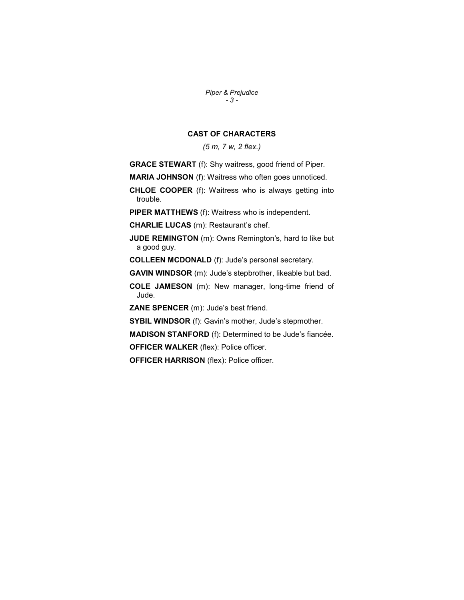Piper & Prejudice - 3 -

## CAST OF CHARACTERS

(5 m, 7 w, 2 flex.)

GRACE STEWART (f): Shy waitress, good friend of Piper.

MARIA JOHNSON (f): Waitress who often goes unnoticed.

CHLOE COOPER (f): Waitress who is always getting into trouble.

PIPER MATTHEWS (f): Waitress who is independent.

CHARLIE LUCAS (m): Restaurant's chef.

**JUDE REMINGTON** (m): Owns Remington's, hard to like but a good guy.

COLLEEN MCDONALD (f): Jude's personal secretary.

GAVIN WINDSOR (m): Jude's stepbrother, likeable but bad.

COLE JAMESON (m): New manager, long-time friend of Jude.

ZANE SPENCER (m): Jude's best friend.

SYBIL WINDSOR (f): Gavin's mother, Jude's stepmother.

MADISON STANFORD (f): Determined to be Jude's fiancée.

OFFICER WALKER (flex): Police officer.

OFFICER HARRISON (flex): Police officer.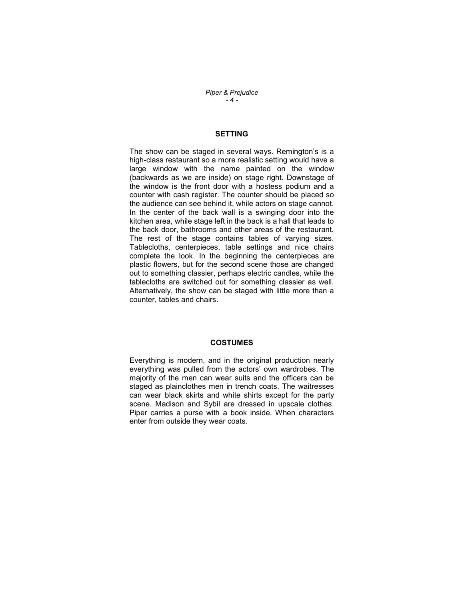Piper & Prejudice - 4 -

## SETTING

The show can be staged in several ways. Remington's is a high-class restaurant so a more realistic setting would have a large window with the name painted on the window (backwards as we are inside) on stage right. Downstage of the window is the front door with a hostess podium and a counter with cash register. The counter should be placed so the audience can see behind it, while actors on stage cannot. In the center of the back wall is a swinging door into the kitchen area, while stage left in the back is a hall that leads to the back door, bathrooms and other areas of the restaurant. The rest of the stage contains tables of varying sizes. Tablecloths, centerpieces, table settings and nice chairs complete the look. In the beginning the centerpieces are plastic flowers, but for the second scene those are changed out to something classier, perhaps electric candles, while the tablecloths are switched out for something classier as well. Alternatively, the show can be staged with little more than a counter, tables and chairs.

## **COSTUMES**

Everything is modern, and in the original production nearly everything was pulled from the actors' own wardrobes. The majority of the men can wear suits and the officers can be staged as plainclothes men in trench coats. The waitresses can wear black skirts and white shirts except for the party scene. Madison and Sybil are dressed in upscale clothes. Piper carries a purse with a book inside. When characters enter from outside they wear coats.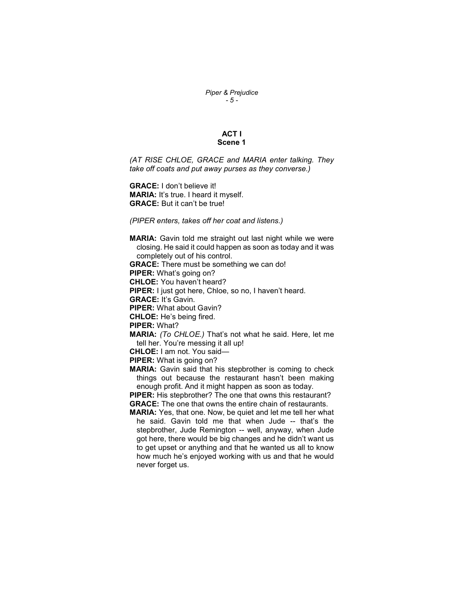## Piper & Prejudice - 5 -

## ACT I Scene 1

(AT RISE CHLOE, GRACE and MARIA enter talking. They take off coats and put away purses as they converse.)

GRACE: I don't believe it! MARIA: It's true. I heard it myself. GRACE: But it can't be true!

(PIPER enters, takes off her coat and listens.)

MARIA: Gavin told me straight out last night while we were closing. He said it could happen as soon as today and it was completely out of his control.

GRACE: There must be something we can do!

PIPER: What's going on?

CHLOE: You haven't heard?

PIPER: I just got here, Chloe, so no, I haven't heard.

GRACE: It's Gavin.

PIPER: What about Gavin?

CHLOE: He's being fired.

PIPER: What?

MARIA: (To CHLOE.) That's not what he said. Here, let me tell her. You're messing it all up!

CHLOE: I am not. You said—

PIPER: What is going on?

MARIA: Gavin said that his stepbrother is coming to check things out because the restaurant hasn't been making enough profit. And it might happen as soon as today.

PIPER: His stepbrother? The one that owns this restaurant? GRACE: The one that owns the entire chain of restaurants.

MARIA: Yes, that one. Now, be quiet and let me tell her what he said. Gavin told me that when Jude -- that's the stepbrother, Jude Remington -- well, anyway, when Jude got here, there would be big changes and he didn't want us to get upset or anything and that he wanted us all to know how much he's enjoyed working with us and that he would never forget us.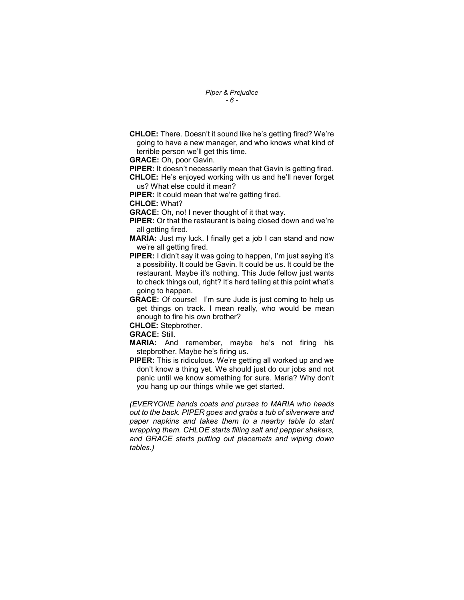Piper & Prejudice - 6 -

CHLOE: There. Doesn't it sound like he's getting fired? We're going to have a new manager, and who knows what kind of terrible person we'll get this time.

GRACE: Oh, poor Gavin.

PIPER: It doesn't necessarily mean that Gavin is getting fired. CHLOE: He's enjoyed working with us and he'll never forget us? What else could it mean?

PIPER: It could mean that we're getting fired.

CHLOE: What?

GRACE: Oh, no! I never thought of it that way.

PIPER: Or that the restaurant is being closed down and we're all getting fired.

- MARIA: Just my luck. I finally get a job I can stand and now we're all getting fired.
- PIPER: I didn't say it was going to happen, I'm just saying it's a possibility. It could be Gavin. It could be us. It could be the restaurant. Maybe it's nothing. This Jude fellow just wants to check things out, right? It's hard telling at this point what's going to happen.
- GRACE: Of course! I'm sure Jude is just coming to help us get things on track. I mean really, who would be mean enough to fire his own brother?

CHLOE: Stepbrother.

#### GRACE: Still.

- MARIA: And remember, maybe he's not firing his stepbrother. Maybe he's firing us.
- PIPER: This is ridiculous. We're getting all worked up and we don't know a thing yet. We should just do our jobs and not panic until we know something for sure. Maria? Why don't you hang up our things while we get started.

(EVERYONE hands coats and purses to MARIA who heads out to the back. PIPER goes and grabs a tub of silverware and paper napkins and takes them to a nearby table to start wrapping them. CHLOE starts filling salt and pepper shakers, and GRACE starts putting out placemats and wiping down tables.)